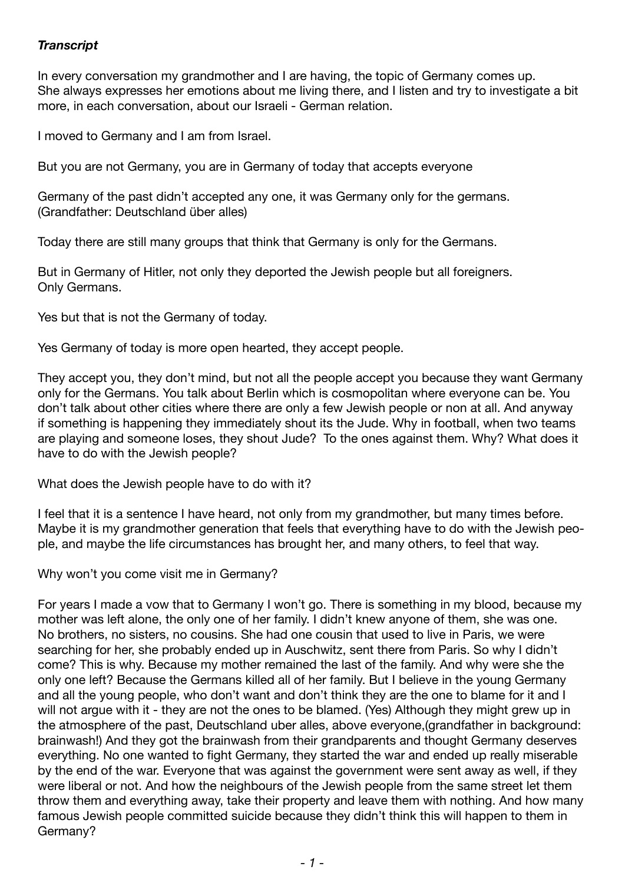## *Transcript*

In every conversation my grandmother and I are having, the topic of Germany comes up. She always expresses her emotions about me living there, and I listen and try to investigate a bit more, in each conversation, about our Israeli - German relation.

I moved to Germany and I am from Israel.

But you are not Germany, you are in Germany of today that accepts everyone

Germany of the past didn't accepted any one, it was Germany only for the germans. (Grandfather: Deutschland über alles)

Today there are still many groups that think that Germany is only for the Germans.

But in Germany of Hitler, not only they deported the Jewish people but all foreigners. Only Germans.

Yes but that is not the Germany of today.

Yes Germany of today is more open hearted, they accept people.

They accept you, they don't mind, but not all the people accept you because they want Germany only for the Germans. You talk about Berlin which is cosmopolitan where everyone can be. You don't talk about other cities where there are only a few Jewish people or non at all. And anyway if something is happening they immediately shout its the Jude. Why in football, when two teams are playing and someone loses, they shout Jude? To the ones against them. Why? What does it have to do with the Jewish people?

What does the Jewish people have to do with it?

I feel that it is a sentence I have heard, not only from my grandmother, but many times before. Maybe it is my grandmother generation that feels that everything have to do with the Jewish people, and maybe the life circumstances has brought her, and many others, to feel that way.

Why won't you come visit me in Germany?

For years I made a vow that to Germany I won't go. There is something in my blood, because my mother was left alone, the only one of her family. I didn't knew anyone of them, she was one. No brothers, no sisters, no cousins. She had one cousin that used to live in Paris, we were searching for her, she probably ended up in Auschwitz, sent there from Paris. So why I didn't come? This is why. Because my mother remained the last of the family. And why were she the only one left? Because the Germans killed all of her family. But I believe in the young Germany and all the young people, who don't want and don't think they are the one to blame for it and I will not argue with it - they are not the ones to be blamed. (Yes) Although they might grew up in the atmosphere of the past, Deutschland uber alles, above everyone,(grandfather in background: brainwash!) And they got the brainwash from their grandparents and thought Germany deserves everything. No one wanted to fight Germany, they started the war and ended up really miserable by the end of the war. Everyone that was against the government were sent away as well, if they were liberal or not. And how the neighbours of the Jewish people from the same street let them throw them and everything away, take their property and leave them with nothing. And how many famous Jewish people committed suicide because they didn't think this will happen to them in Germany?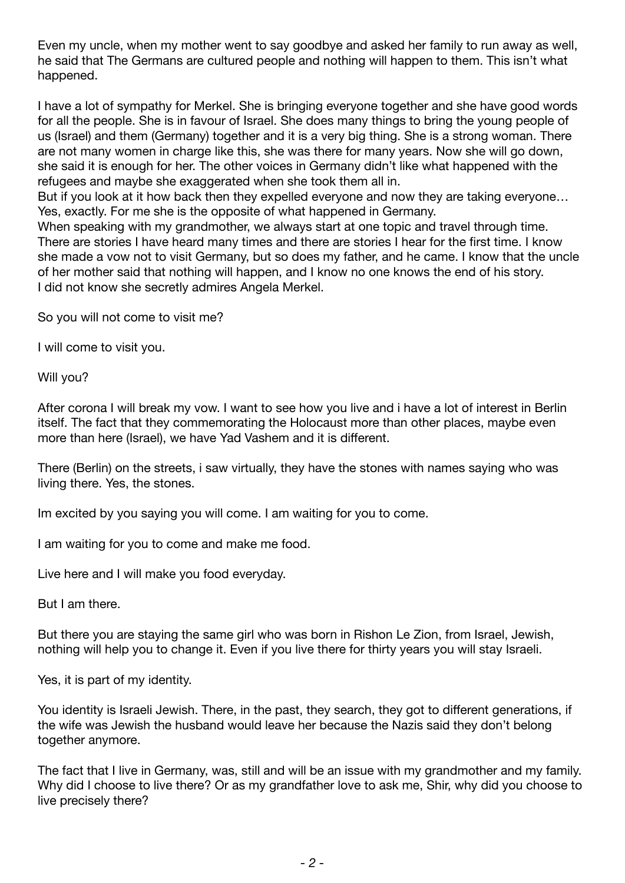Even my uncle, when my mother went to say goodbye and asked her family to run away as well, he said that The Germans are cultured people and nothing will happen to them. This isn't what happened.

I have a lot of sympathy for Merkel. She is bringing everyone together and she have good words for all the people. She is in favour of Israel. She does many things to bring the young people of us (Israel) and them (Germany) together and it is a very big thing. She is a strong woman. There are not many women in charge like this, she was there for many years. Now she will go down, she said it is enough for her. The other voices in Germany didn't like what happened with the refugees and maybe she exaggerated when she took them all in.

But if you look at it how back then they expelled everyone and now they are taking everyone… Yes, exactly. For me she is the opposite of what happened in Germany.

When speaking with my grandmother, we always start at one topic and travel through time. There are stories I have heard many times and there are stories I hear for the first time. I know she made a vow not to visit Germany, but so does my father, and he came. I know that the uncle of her mother said that nothing will happen, and I know no one knows the end of his story. I did not know she secretly admires Angela Merkel.

So you will not come to visit me?

I will come to visit you.

Will you?

After corona I will break my vow. I want to see how you live and i have a lot of interest in Berlin itself. The fact that they commemorating the Holocaust more than other places, maybe even more than here (Israel), we have Yad Vashem and it is different.

There (Berlin) on the streets, i saw virtually, they have the stones with names saying who was living there. Yes, the stones.

Im excited by you saying you will come. I am waiting for you to come.

I am waiting for you to come and make me food.

Live here and I will make you food everyday.

But I am there.

But there you are staying the same girl who was born in Rishon Le Zion, from Israel, Jewish, nothing will help you to change it. Even if you live there for thirty years you will stay Israeli.

Yes, it is part of my identity.

You identity is Israeli Jewish. There, in the past, they search, they got to different generations, if the wife was Jewish the husband would leave her because the Nazis said they don't belong together anymore.

The fact that I live in Germany, was, still and will be an issue with my grandmother and my family. Why did I choose to live there? Or as my grandfather love to ask me, Shir, why did you choose to live precisely there?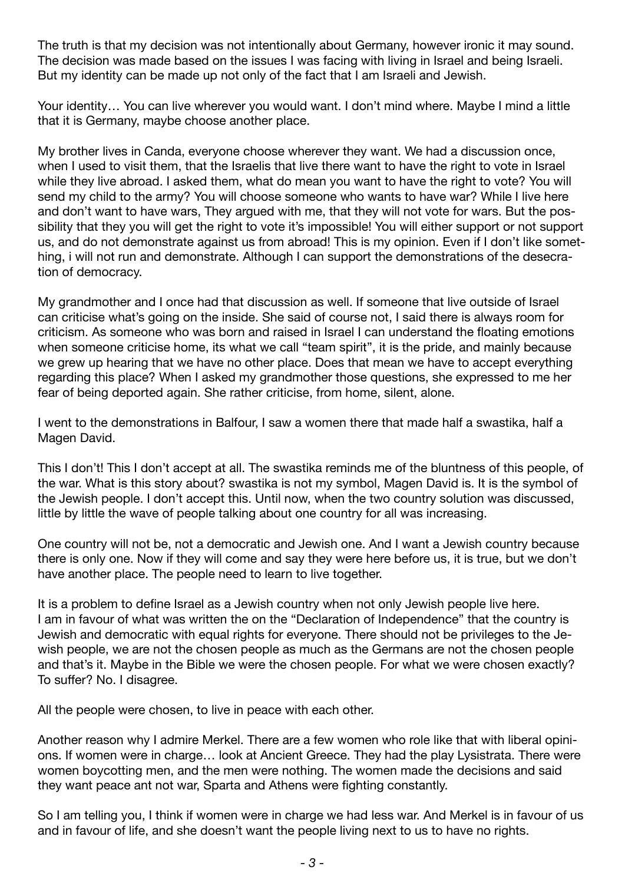The truth is that my decision was not intentionally about Germany, however ironic it may sound. The decision was made based on the issues I was facing with living in Israel and being Israeli. But my identity can be made up not only of the fact that I am Israeli and Jewish.

Your identity… You can live wherever you would want. I don't mind where. Maybe I mind a little that it is Germany, maybe choose another place.

My brother lives in Canda, everyone choose wherever they want. We had a discussion once, when I used to visit them, that the Israelis that live there want to have the right to vote in Israel while they live abroad. I asked them, what do mean you want to have the right to vote? You will send my child to the army? You will choose someone who wants to have war? While I live here and don't want to have wars, They argued with me, that they will not vote for wars. But the possibility that they you will get the right to vote it's impossible! You will either support or not support us, and do not demonstrate against us from abroad! This is my opinion. Even if I don't like something, i will not run and demonstrate. Although I can support the demonstrations of the desecration of democracy.

My grandmother and I once had that discussion as well. If someone that live outside of Israel can criticise what's going on the inside. She said of course not, I said there is always room for criticism. As someone who was born and raised in Israel I can understand the floating emotions when someone criticise home, its what we call "team spirit", it is the pride, and mainly because we grew up hearing that we have no other place. Does that mean we have to accept everything regarding this place? When I asked my grandmother those questions, she expressed to me her fear of being deported again. She rather criticise, from home, silent, alone.

I went to the demonstrations in Balfour, I saw a women there that made half a swastika, half a Magen David.

This I don't! This I don't accept at all. The swastika reminds me of the bluntness of this people, of the war. What is this story about? swastika is not my symbol, Magen David is. It is the symbol of the Jewish people. I don't accept this. Until now, when the two country solution was discussed, little by little the wave of people talking about one country for all was increasing.

One country will not be, not a democratic and Jewish one. And I want a Jewish country because there is only one. Now if they will come and say they were here before us, it is true, but we don't have another place. The people need to learn to live together.

It is a problem to define Israel as a Jewish country when not only Jewish people live here. I am in favour of what was written the on the "Declaration of Independence" that the country is Jewish and democratic with equal rights for everyone. There should not be privileges to the Jewish people, we are not the chosen people as much as the Germans are not the chosen people and that's it. Maybe in the Bible we were the chosen people. For what we were chosen exactly? To suffer? No. I disagree.

All the people were chosen, to live in peace with each other.

Another reason why I admire Merkel. There are a few women who role like that with liberal opinions. If women were in charge… look at Ancient Greece. They had the play Lysistrata. There were women boycotting men, and the men were nothing. The women made the decisions and said they want peace ant not war, Sparta and Athens were fighting constantly.

So I am telling you, I think if women were in charge we had less war. And Merkel is in favour of us and in favour of life, and she doesn't want the people living next to us to have no rights.